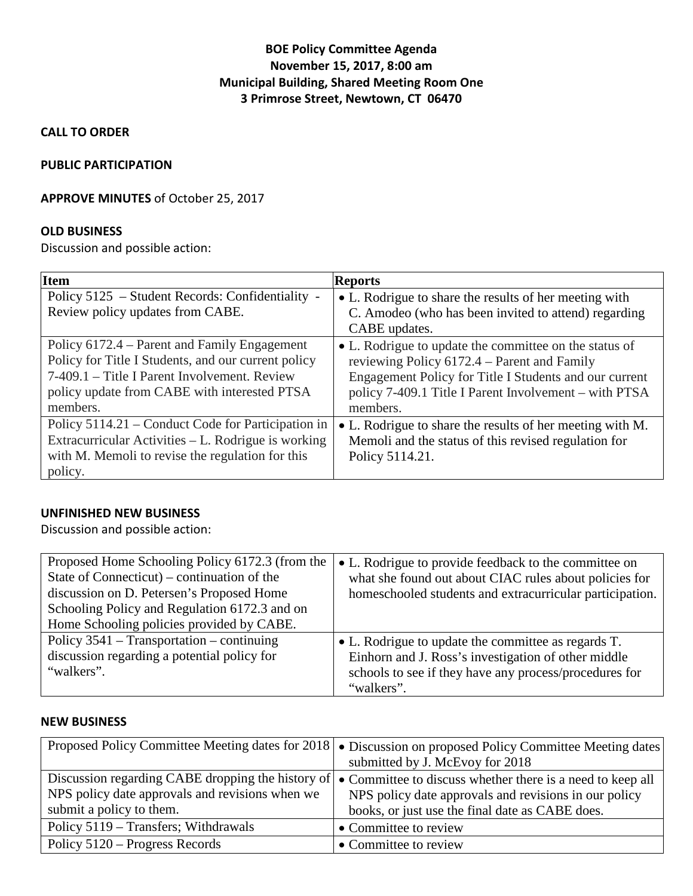# **BOE Policy Committee Agenda November 15, 2017, 8:00 am Municipal Building, Shared Meeting Room One 3 Primrose Street, Newtown, CT 06470**

**CALL TO ORDER**

### **PUBLIC PARTICIPATION**

### **APPROVE MINUTES** of October 25, 2017

# **OLD BUSINESS**

Discussion and possible action:

| Item                                                                                                                                                                                                            | <b>Reports</b>                                                                                                                                                                                                                       |
|-----------------------------------------------------------------------------------------------------------------------------------------------------------------------------------------------------------------|--------------------------------------------------------------------------------------------------------------------------------------------------------------------------------------------------------------------------------------|
| Policy 5125 – Student Records: Confidentiality -                                                                                                                                                                | • L. Rodrigue to share the results of her meeting with                                                                                                                                                                               |
| Review policy updates from CABE.                                                                                                                                                                                | C. Amodeo (who has been invited to attend) regarding                                                                                                                                                                                 |
|                                                                                                                                                                                                                 | CABE updates.                                                                                                                                                                                                                        |
| Policy 6172.4 – Parent and Family Engagement<br>Policy for Title I Students, and our current policy<br>7-409.1 – Title I Parent Involvement. Review<br>policy update from CABE with interested PTSA<br>members. | • L. Rodrigue to update the committee on the status of<br>reviewing Policy 6172.4 – Parent and Family<br>Engagement Policy for Title I Students and our current<br>policy 7-409.1 Title I Parent Involvement – with PTSA<br>members. |
| Policy 5114.21 – Conduct Code for Participation in                                                                                                                                                              | • L. Rodrigue to share the results of her meeting with M.                                                                                                                                                                            |
| Extracurricular Activities – L. Rodrigue is working                                                                                                                                                             | Memoli and the status of this revised regulation for                                                                                                                                                                                 |
| with M. Memoli to revise the regulation for this                                                                                                                                                                | Policy 5114.21.                                                                                                                                                                                                                      |
| policy.                                                                                                                                                                                                         |                                                                                                                                                                                                                                      |

## **UNFINISHED NEW BUSINESS**

Discussion and possible action:

| Proposed Home Schooling Policy 6172.3 (from the<br>State of Connecticut) – continuation of the<br>discussion on D. Petersen's Proposed Home<br>Schooling Policy and Regulation 6172.3 and on<br>Home Schooling policies provided by CABE. | • L. Rodrigue to provide feedback to the committee on<br>what she found out about CIAC rules about policies for<br>homeschooled students and extracurricular participation.        |
|-------------------------------------------------------------------------------------------------------------------------------------------------------------------------------------------------------------------------------------------|------------------------------------------------------------------------------------------------------------------------------------------------------------------------------------|
| Policy $3541$ – Transportation – continuing<br>discussion regarding a potential policy for<br>"walkers".                                                                                                                                  | • L. Rodrigue to update the committee as regards T.<br>Einhorn and J. Ross's investigation of other middle<br>schools to see if they have any process/procedures for<br>"walkers". |

#### **NEW BUSINESS**

|                                                 | Proposed Policy Committee Meeting dates for 2018   • Discussion on proposed Policy Committee Meeting dates           |
|-------------------------------------------------|----------------------------------------------------------------------------------------------------------------------|
|                                                 | submitted by J. McEvoy for 2018                                                                                      |
|                                                 | Discussion regarding CABE dropping the history of $\bullet$ Committee to discuss whether there is a need to keep all |
| NPS policy date approvals and revisions when we | NPS policy date approvals and revisions in our policy                                                                |
| submit a policy to them.                        | books, or just use the final date as CABE does.                                                                      |
| Policy 5119 – Transfers; Withdrawals            | • Committee to review                                                                                                |
| Policy 5120 – Progress Records                  | • Committee to review                                                                                                |